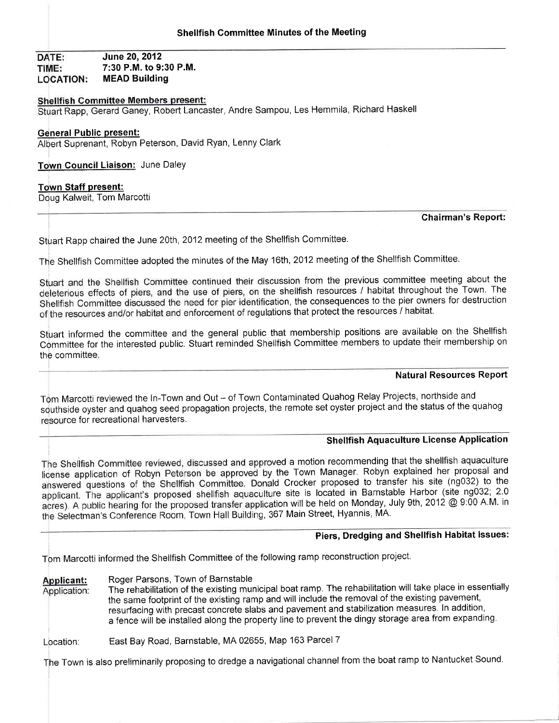June 20,2012 DATE: 7:30 P.M. to 9:30 P.M. TIME: MEAD Building **LOCATION:** 

## **Shellfish Committee Members present:**

Stuart Rapp, Gerard Ganey, Robert Lancaster, Andre Sampou, Les Hemmila, Richard Haskell

### General Public present:

Albert Suprenant, Robyn Peterson, David Ryan, Lenny Clark

Town Council Liaison: June Daley

# Town Staff present:

Doug Kalweit, Tom Marcotti

## Ghairman's Report:

Stuart Rapp chaired the June 20th, 2012 meeting of the Shellfish Committee.

The Shellfish Committee adopted the minutes of the May 16th, 2012 meeting of the Shellfish Committee.

Stuart and the Shellfish Committee continued their discussion from the previous committee meeting about the deleterious effects of piers, and the use of piers, on the shellfish resources / habitat throughout the Town. The Shellfish Committee discussed the need for pier identification, the consequences to the pier owners for destruction of the resources and/or habitat and enforcement of regulations that protect the resources / habitat.

Stuart informed the committee and the general public that membership positions are available on the Shellfish Committee for the interested public. Stuart reminded Shellfish Committee members to update their membership on the committee,

#### **Natural Resources Report**

Tom Marcotti reviewed the In-Town and Out - of Town Contaminated Quahog Relay Projects, northside and southside oyster and quahog seed propagation projects, the remote set oyster project and the status of the quahog resource for recreational harvesters.

## Shellfish Aquaculture License Application

The Shellfish Committee reviewed, discussed and approved a motion recommending that the shellfish aquaculture license application of Robyn Peterson be approved by the Town Manager. Robyn explained her proposal and answered questions of the Shellfish Committee. Donald Crocker proposed to transfer his site (ng032) to the applicant. The applicant's proposed shellfish aquaculture site is located in Barnstable Harbor (site ng032; 2.0 acres). A public hearing for the proposed transfer application will be held on Monday, July 9th, 2012 @ 9:00 A.M. in the Selectman's Conference Room, Town Hall Building, 367 Main Street, Hyannis, MA.

# Piers, Dredging and Shellfish Habitat lssues:

Tbm Marcotti informed the Shellfish Committee of the following ramp reconstruction project.

Roger Parsons, Town of Barnstable **Applicant:** 

The rehabilitation of the existing municipal boat ramp. The rehabilitation will take place in essentially Application: the same footprint of the existing ramp and will include the removal of the existing pavement, resurfacing wiih precast concrete slabs and pavement and stabilization measures. In addition, a fence will be installed along the property line to prevent the dingy storage area from expanding.

East Bay Road, Barnstable, MA 02655, Map 163 Parcel 7 Location:

The Town is also preliminarily proposing to dredge a navigational channelfrom the boat ramp to Nantucket Sound.